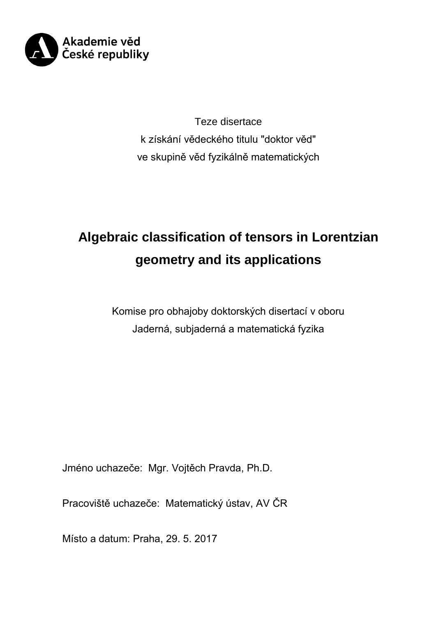

Teze disertace k získání vědeckého titulu "doktor věd" ve skupině věd fyzikálně matematických

# **Algebraic classification of tensors in Lorentzian geometry and its applications**

Komise pro obhajoby doktorských disertací v oboru Jaderná, subjaderná a matematická fyzika

Jméno uchazeče: Mgr. Vojtěch Pravda, Ph.D.

Pracoviště uchazeče: Matematický ústav, AV ČR

Místo a datum: Praha, 29. 5. 2017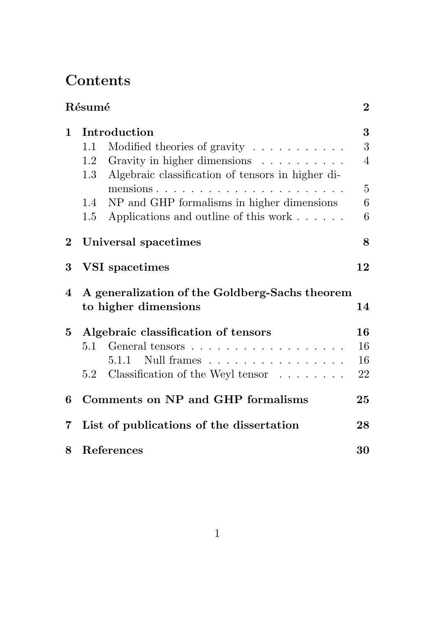# Contents

|             | Résumé                                                                 |                                                   |                 |  |  |
|-------------|------------------------------------------------------------------------|---------------------------------------------------|-----------------|--|--|
| 1           | Introduction                                                           |                                                   |                 |  |  |
|             | 1.1                                                                    | Modified theories of gravity $\dots \dots \dots$  | 3               |  |  |
|             | 1.2                                                                    | Gravity in higher dimensions                      | $\overline{4}$  |  |  |
|             | $1.3\,$                                                                | Algebraic classification of tensors in higher di- |                 |  |  |
|             |                                                                        |                                                   | $\overline{5}$  |  |  |
|             | 1.4                                                                    | NP and GHP formalisms in higher dimensions        | $6\phantom{.}6$ |  |  |
|             | 1.5                                                                    | Applications and outline of this work             | $6\phantom{.}6$ |  |  |
| $2^{\circ}$ | Universal spacetimes                                                   |                                                   |                 |  |  |
| 3           | VSI spacetimes                                                         |                                                   |                 |  |  |
| 4           | A generalization of the Goldberg-Sachs theorem<br>to higher dimensions |                                                   |                 |  |  |
| $5^{\circ}$ |                                                                        | Algebraic classification of tensors               | 16              |  |  |
|             | 5.1                                                                    |                                                   | 16              |  |  |
|             |                                                                        | $5.1.1$ Null frames                               | 16              |  |  |
|             |                                                                        | 5.2 Classification of the Weyl tensor             | 22              |  |  |
| 6           | Comments on NP and GHP formalisms                                      |                                                   |                 |  |  |
| 7           | List of publications of the dissertation<br>28                         |                                                   |                 |  |  |
| 8           | 30<br>References                                                       |                                                   |                 |  |  |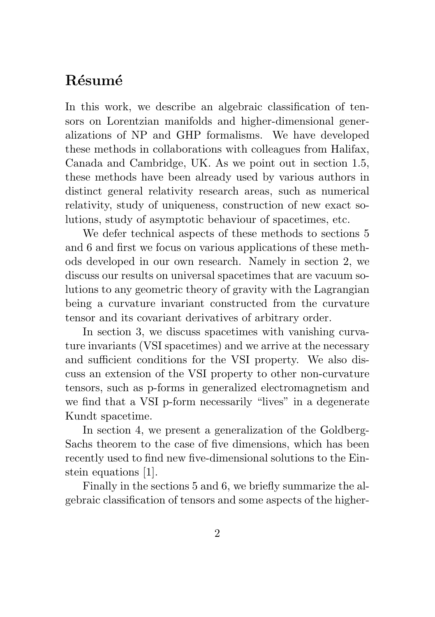# Résumé

In this work, we describe an algebraic classification of tensors on Lorentzian manifolds and higher-dimensional generalizations of NP and GHP formalisms. We have developed these methods in collaborations with colleagues from Halifax, Canada and Cambridge, UK. As we point out in section 1.5, these methods have been already used by various authors in distinct general relativity research areas, such as numerical relativity, study of uniqueness, construction of new exact solutions, study of asymptotic behaviour of spacetimes, etc.

We defer technical aspects of these methods to sections 5 and 6 and first we focus on various applications of these methods developed in our own research. Namely in section 2, we discuss our results on universal spacetimes that are vacuum solutions to any geometric theory of gravity with the Lagrangian being a curvature invariant constructed from the curvature tensor and its covariant derivatives of arbitrary order.

In section 3, we discuss spacetimes with vanishing curvature invariants (VSI spacetimes) and we arrive at the necessary and sufficient conditions for the VSI property. We also discuss an extension of the VSI property to other non-curvature tensors, such as p-forms in generalized electromagnetism and we find that a VSI p-form necessarily "lives" in a degenerate Kundt spacetime.

In section 4, we present a generalization of the Goldberg-Sachs theorem to the case of five dimensions, which has been recently used to find new five-dimensional solutions to the Einstein equations [1].

Finally in the sections 5 and 6, we briefly summarize the algebraic classification of tensors and some aspects of the higher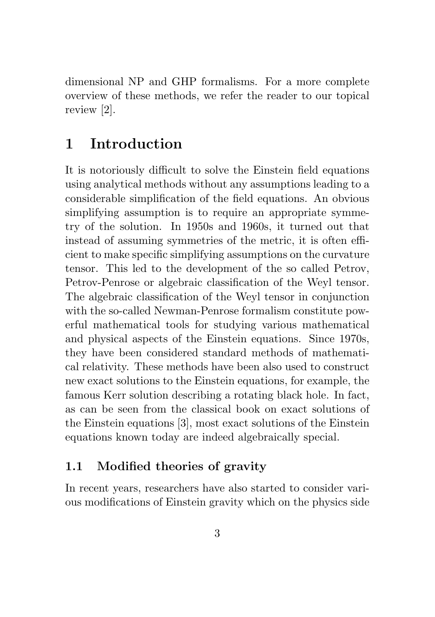dimensional NP and GHP formalisms. For a more complete overview of these methods, we refer the reader to our topical review [2].

# 1 Introduction

It is notoriously difficult to solve the Einstein field equations using analytical methods without any assumptions leading to a considerable simplification of the field equations. An obvious simplifying assumption is to require an appropriate symmetry of the solution. In 1950s and 1960s, it turned out that instead of assuming symmetries of the metric, it is often efficient to make specific simplifying assumptions on the curvature tensor. This led to the development of the so called Petrov, Petrov-Penrose or algebraic classification of the Weyl tensor. The algebraic classification of the Weyl tensor in conjunction with the so-called Newman-Penrose formalism constitute powerful mathematical tools for studying various mathematical and physical aspects of the Einstein equations. Since 1970s, they have been considered standard methods of mathematical relativity. These methods have been also used to construct new exact solutions to the Einstein equations, for example, the famous Kerr solution describing a rotating black hole. In fact, as can be seen from the classical book on exact solutions of the Einstein equations [3], most exact solutions of the Einstein equations known today are indeed algebraically special.

#### 1.1 Modified theories of gravity

In recent years, researchers have also started to consider various modifications of Einstein gravity which on the physics side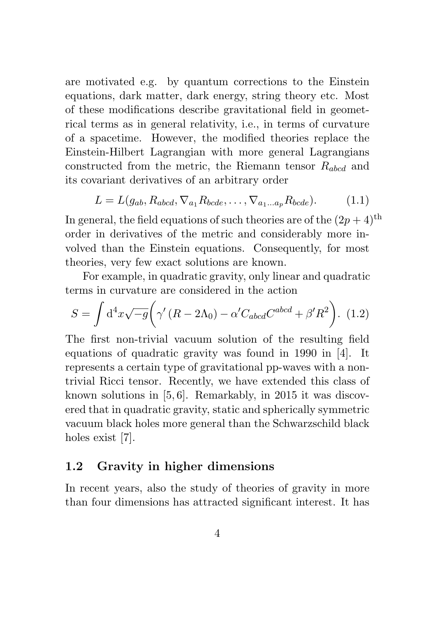are motivated e.g. by quantum corrections to the Einstein equations, dark matter, dark energy, string theory etc. Most of these modifications describe gravitational field in geometrical terms as in general relativity, i.e., in terms of curvature of a spacetime. However, the modified theories replace the Einstein-Hilbert Lagrangian with more general Lagrangians constructed from the metric, the Riemann tensor  $R_{abcd}$  and its covariant derivatives of an arbitrary order

$$
L = L(g_{ab}, R_{abcd}, \nabla_{a_1} R_{bcde}, \dots, \nabla_{a_1 \dots a_p} R_{bcde}).
$$
 (1.1)

In general, the field equations of such theories are of the  $(2p + 4)$ <sup>th</sup> order in derivatives of the metric and considerably more involved than the Einstein equations. Consequently, for most theories, very few exact solutions are known.

For example, in quadratic gravity, only linear and quadratic terms in curvature are considered in the action

$$
S = \int d^4x \sqrt{-g} \left( \gamma'(R - 2\Lambda_0) - \alpha' C_{abcd} C^{abcd} + \beta' R^2 \right). (1.2)
$$

The first non-trivial vacuum solution of the resulting field equations of quadratic gravity was found in 1990 in [4]. It represents a certain type of gravitational pp-waves with a nontrivial Ricci tensor. Recently, we have extended this class of known solutions in [5, 6]. Remarkably, in 2015 it was discovered that in quadratic gravity, static and spherically symmetric vacuum black holes more general than the Schwarzschild black holes exist [7].

#### 1.2 Gravity in higher dimensions

In recent years, also the study of theories of gravity in more than four dimensions has attracted significant interest. It has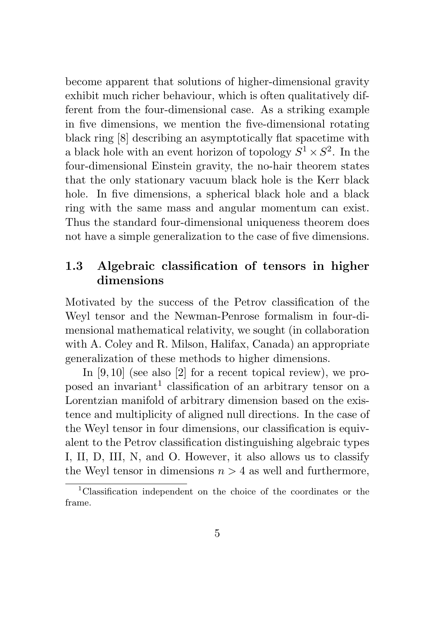become apparent that solutions of higher-dimensional gravity exhibit much richer behaviour, which is often qualitatively different from the four-dimensional case. As a striking example in five dimensions, we mention the five-dimensional rotating black ring [8] describing an asymptotically flat spacetime with a black hole with an event horizon of topology  $S^1 \times S^2$ . In the four-dimensional Einstein gravity, the no-hair theorem states that the only stationary vacuum black hole is the Kerr black hole. In five dimensions, a spherical black hole and a black ring with the same mass and angular momentum can exist. Thus the standard four-dimensional uniqueness theorem does not have a simple generalization to the case of five dimensions.

#### 1.3 Algebraic classification of tensors in higher dimensions

Motivated by the success of the Petrov classification of the Weyl tensor and the Newman-Penrose formalism in four-dimensional mathematical relativity, we sought (in collaboration with A. Coley and R. Milson, Halifax, Canada) an appropriate generalization of these methods to higher dimensions.

In [9, 10] (see also [2] for a recent topical review), we proposed an invariant<sup>1</sup> classification of an arbitrary tensor on a Lorentzian manifold of arbitrary dimension based on the existence and multiplicity of aligned null directions. In the case of the Weyl tensor in four dimensions, our classification is equivalent to the Petrov classification distinguishing algebraic types I, II, D, III, N, and O. However, it also allows us to classify the Weyl tensor in dimensions  $n > 4$  as well and furthermore,

<sup>&</sup>lt;sup>1</sup>Classification independent on the choice of the coordinates or the frame.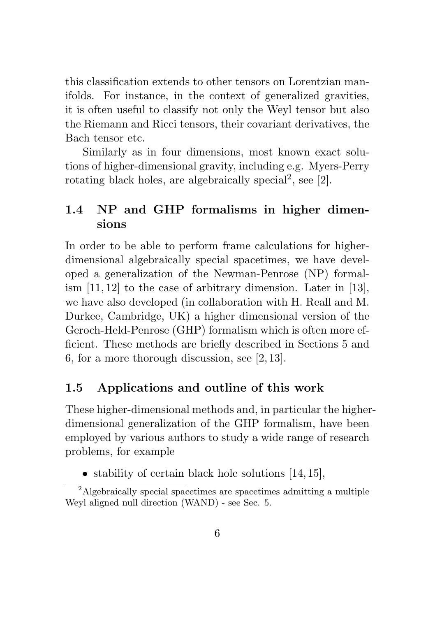this classification extends to other tensors on Lorentzian manifolds. For instance, in the context of generalized gravities, it is often useful to classify not only the Weyl tensor but also the Riemann and Ricci tensors, their covariant derivatives, the Bach tensor etc.

Similarly as in four dimensions, most known exact solutions of higher-dimensional gravity, including e.g. Myers-Perry rotating black holes, are algebraically special<sup>2</sup>, see  $[2]$ .

#### 1.4 NP and GHP formalisms in higher dimensions

In order to be able to perform frame calculations for higherdimensional algebraically special spacetimes, we have developed a generalization of the Newman-Penrose (NP) formalism [11, 12] to the case of arbitrary dimension. Later in [13], we have also developed (in collaboration with H. Reall and M. Durkee, Cambridge, UK) a higher dimensional version of the Geroch-Held-Penrose (GHP) formalism which is often more efficient. These methods are briefly described in Sections 5 and 6, for a more thorough discussion, see [2, 13].

#### 1.5 Applications and outline of this work

These higher-dimensional methods and, in particular the higherdimensional generalization of the GHP formalism, have been employed by various authors to study a wide range of research problems, for example

• stability of certain black hole solutions  $[14, 15]$ ,

 $2$ Algebraically special spacetimes are spacetimes admitting a multiple Weyl aligned null direction (WAND) - see Sec. 5.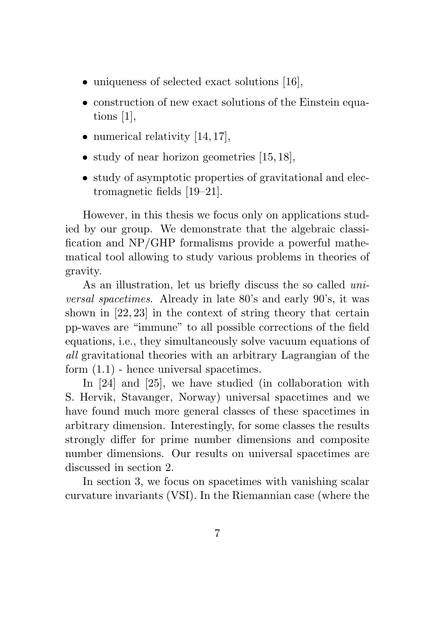- uniqueness of selected exact solutions [16],
- construction of new exact solutions of the Einstein equations [1],
- numerical relativity  $[14, 17]$ ,
- study of near horizon geometries [15, 18],
- study of asymptotic properties of gravitational and electromagnetic fields [19–21].

However, in this thesis we focus only on applications studied by our group. We demonstrate that the algebraic classification and NP/GHP formalisms provide a powerful mathematical tool allowing to study various problems in theories of gravity.

As an illustration, let us briefly discuss the so called universal spacetimes. Already in late 80's and early 90's, it was shown in [22, 23] in the context of string theory that certain pp-waves are "immune" to all possible corrections of the field equations, i.e., they simultaneously solve vacuum equations of all gravitational theories with an arbitrary Lagrangian of the form  $(1.1)$  - hence universal spacetimes.

In [24] and [25], we have studied (in collaboration with S. Hervik, Stavanger, Norway) universal spacetimes and we have found much more general classes of these spacetimes in arbitrary dimension. Interestingly, for some classes the results strongly differ for prime number dimensions and composite number dimensions. Our results on universal spacetimes are discussed in section 2.

In section 3, we focus on spacetimes with vanishing scalar curvature invariants (VSI). In the Riemannian case (where the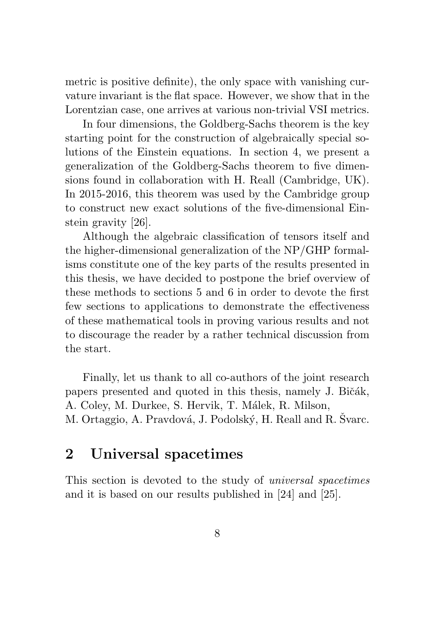metric is positive definite), the only space with vanishing curvature invariant is the flat space. However, we show that in the Lorentzian case, one arrives at various non-trivial VSI metrics.

In four dimensions, the Goldberg-Sachs theorem is the key starting point for the construction of algebraically special solutions of the Einstein equations. In section 4, we present a generalization of the Goldberg-Sachs theorem to five dimensions found in collaboration with H. Reall (Cambridge, UK). In 2015-2016, this theorem was used by the Cambridge group to construct new exact solutions of the five-dimensional Einstein gravity [26].

Although the algebraic classification of tensors itself and the higher-dimensional generalization of the NP/GHP formalisms constitute one of the key parts of the results presented in this thesis, we have decided to postpone the brief overview of these methods to sections 5 and 6 in order to devote the first few sections to applications to demonstrate the effectiveness of these mathematical tools in proving various results and not to discourage the reader by a rather technical discussion from the start.

Finally, let us thank to all co-authors of the joint research papers presented and quoted in this thesis, namely J. Bičák, A. Coley, M. Durkee, S. Hervik, T. Málek, R. Milson, M. Ortaggio, A. Pravdová, J. Podolský, H. Reall and R. Švarc.

# 2 Universal spacetimes

This section is devoted to the study of universal spacetimes and it is based on our results published in [24] and [25].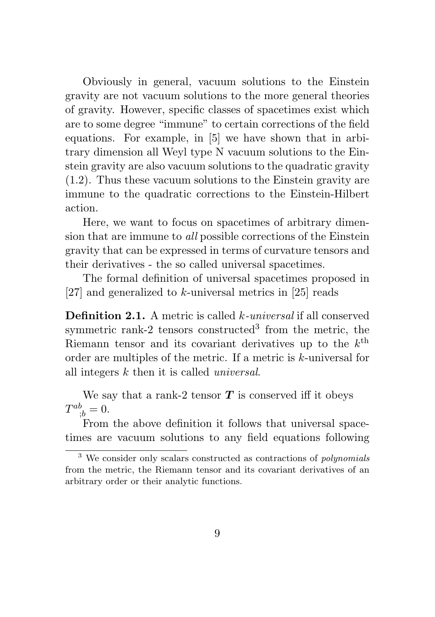Obviously in general, vacuum solutions to the Einstein gravity are not vacuum solutions to the more general theories of gravity. However, specific classes of spacetimes exist which are to some degree "immune" to certain corrections of the field equations. For example, in [5] we have shown that in arbitrary dimension all Weyl type N vacuum solutions to the Einstein gravity are also vacuum solutions to the quadratic gravity (1.2). Thus these vacuum solutions to the Einstein gravity are immune to the quadratic corrections to the Einstein-Hilbert action.

Here, we want to focus on spacetimes of arbitrary dimension that are immune to all possible corrections of the Einstein gravity that can be expressed in terms of curvature tensors and their derivatives - the so called universal spacetimes.

The formal definition of universal spacetimes proposed in [27] and generalized to k-universal metrics in [25] reads

Definition 2.1. A metric is called k-universal if all conserved symmetric rank-2 tensors constructed<sup>3</sup> from the metric, the Riemann tensor and its covariant derivatives up to the  $k^{\text{th}}$ order are multiples of the metric. If a metric is k-universal for all integers k then it is called universal.

We say that a rank-2 tensor  $T$  is conserved iff it obeys  $T^{ab}_{\ \ ;b}=0.$ 

From the above definition it follows that universal spacetimes are vacuum solutions to any field equations following

 $3$  We consider only scalars constructed as contractions of *polynomials* from the metric, the Riemann tensor and its covariant derivatives of an arbitrary order or their analytic functions.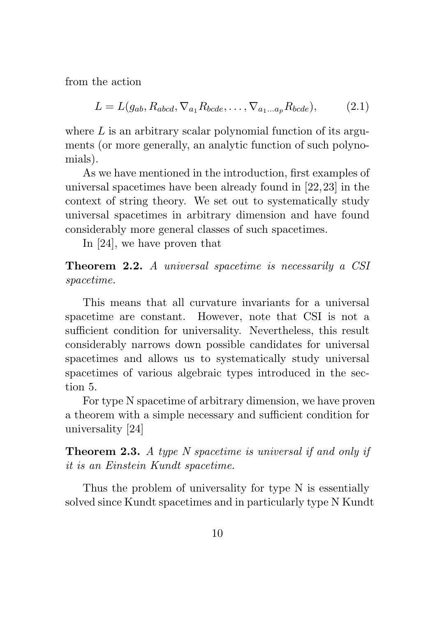from the action

$$
L = L(g_{ab}, R_{abcd}, \nabla_{a_1} R_{bcde}, \dots, \nabla_{a_1 \dots a_p} R_{bcde}), \tag{2.1}
$$

where  $L$  is an arbitrary scalar polynomial function of its arguments (or more generally, an analytic function of such polynomials).

As we have mentioned in the introduction, first examples of universal spacetimes have been already found in [22,23] in the context of string theory. We set out to systematically study universal spacetimes in arbitrary dimension and have found considerably more general classes of such spacetimes.

In [24], we have proven that

Theorem 2.2. A universal spacetime is necessarily a CSI spacetime.

This means that all curvature invariants for a universal spacetime are constant. However, note that CSI is not a sufficient condition for universality. Nevertheless, this result considerably narrows down possible candidates for universal spacetimes and allows us to systematically study universal spacetimes of various algebraic types introduced in the section 5.

For type N spacetime of arbitrary dimension, we have proven a theorem with a simple necessary and sufficient condition for universality [24]

Theorem 2.3. A type N spacetime is universal if and only if it is an Einstein Kundt spacetime.

Thus the problem of universality for type N is essentially solved since Kundt spacetimes and in particularly type N Kundt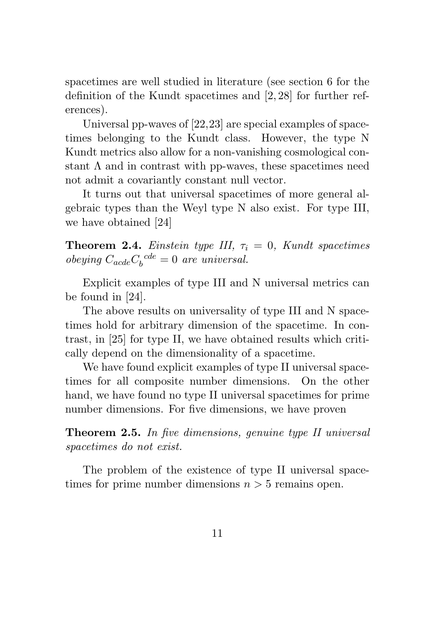spacetimes are well studied in literature (see section 6 for the definition of the Kundt spacetimes and [2, 28] for further references).

Universal pp-waves of [22,23] are special examples of spacetimes belonging to the Kundt class. However, the type N Kundt metrics also allow for a non-vanishing cosmological constant  $\Lambda$  and in contrast with pp-waves, these spacetimes need not admit a covariantly constant null vector.

It turns out that universal spacetimes of more general algebraic types than the Weyl type N also exist. For type III, we have obtained [24]

**Theorem 2.4.** Einstein type III,  $\tau_i = 0$ , Kundt spacetimes obeying  $C_{acde}C_b^{cde} = 0$  are universal.

Explicit examples of type III and N universal metrics can be found in [24].

The above results on universality of type III and N spacetimes hold for arbitrary dimension of the spacetime. In contrast, in [25] for type II, we have obtained results which critically depend on the dimensionality of a spacetime.

We have found explicit examples of type II universal spacetimes for all composite number dimensions. On the other hand, we have found no type II universal spacetimes for prime number dimensions. For five dimensions, we have proven

Theorem 2.5. In five dimensions, genuine type II universal spacetimes do not exist.

The problem of the existence of type II universal spacetimes for prime number dimensions  $n > 5$  remains open.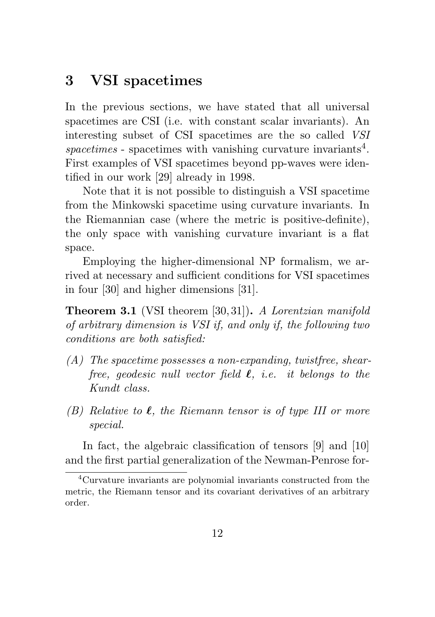## 3 VSI spacetimes

In the previous sections, we have stated that all universal spacetimes are CSI (i.e. with constant scalar invariants). An interesting subset of CSI spacetimes are the so called VSI spacetimes - spacetimes with vanishing curvature invariants<sup>4</sup>. First examples of VSI spacetimes beyond pp-waves were identified in our work [29] already in 1998.

Note that it is not possible to distinguish a VSI spacetime from the Minkowski spacetime using curvature invariants. In the Riemannian case (where the metric is positive-definite), the only space with vanishing curvature invariant is a flat space.

Employing the higher-dimensional NP formalism, we arrived at necessary and sufficient conditions for VSI spacetimes in four [30] and higher dimensions [31].

Theorem 3.1 (VSI theorem [30, 31]). A Lorentzian manifold of arbitrary dimension is VSI if, and only if, the following two conditions are both satisfied:

- (A) The spacetime possesses a non-expanding, twistfree, shearfree, geodesic null vector field  $\ell$ , i.e. it belongs to the Kundt class.
- (B) Relative to  $\ell$ , the Riemann tensor is of type III or more special.

In fact, the algebraic classification of tensors [9] and [10] and the first partial generalization of the Newman-Penrose for-

<sup>4</sup>Curvature invariants are polynomial invariants constructed from the metric, the Riemann tensor and its covariant derivatives of an arbitrary order.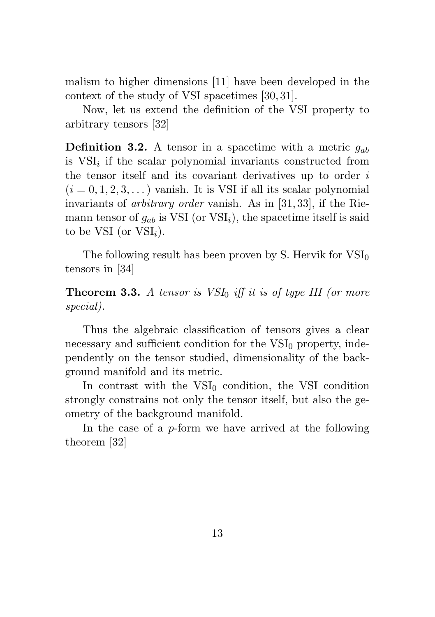malism to higher dimensions [11] have been developed in the context of the study of VSI spacetimes [30, 31].

Now, let us extend the definition of the VSI property to arbitrary tensors [32]

**Definition 3.2.** A tensor in a spacetime with a metric  $q_{ab}$ is  $VSI<sub>i</sub>$  if the scalar polynomial invariants constructed from the tensor itself and its covariant derivatives up to order  $i$  $(i = 0, 1, 2, 3, ...)$  vanish. It is VSI if all its scalar polynomial invariants of arbitrary order vanish. As in [31, 33], if the Riemann tensor of  $g_{ab}$  is VSI (or VSI<sub>i</sub>), the spacetime itself is said to be VSI (or  $VSI_i$ ).

The following result has been proven by S. Hervik for  $VSI_0$ tensors in [34]

**Theorem 3.3.** A tensor is  $VSI_0$  iff it is of type III (or more special).

Thus the algebraic classification of tensors gives a clear necessary and sufficient condition for the  $VSI<sub>0</sub>$  property, independently on the tensor studied, dimensionality of the background manifold and its metric.

In contrast with the  $VSI_0$  condition, the VSI condition strongly constrains not only the tensor itself, but also the geometry of the background manifold.

In the case of a p-form we have arrived at the following theorem [32]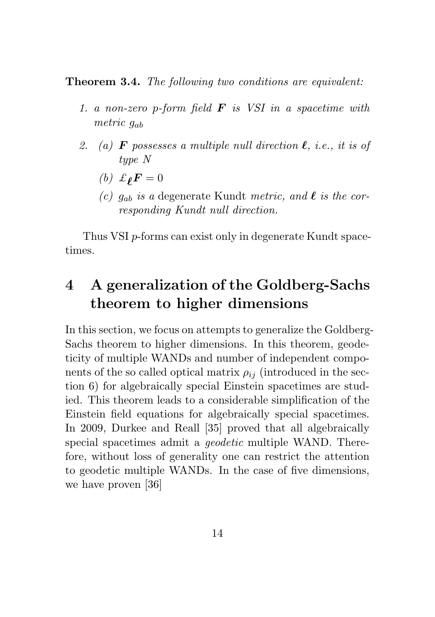Theorem 3.4. The following two conditions are equivalent:

- 1. a non-zero p-form field  $\bf{F}$  is VSI in a spacetime with metric  $q_{ab}$
- 2. (a) **F** possesses a multiple null direction  $\ell$ , i.e., it is of type N
	- (b)  $\mathcal{L}_{\ell} F = 0$
	- (c)  $g_{ab}$  is a degenerate Kundt metric, and  $\ell$  is the corresponding Kundt null direction.

Thus VSI p-forms can exist only in degenerate Kundt spacetimes.

# 4 A generalization of the Goldberg-Sachs theorem to higher dimensions

In this section, we focus on attempts to generalize the Goldberg-Sachs theorem to higher dimensions. In this theorem, geodeticity of multiple WANDs and number of independent components of the so called optical matrix  $\rho_{ij}$  (introduced in the section 6) for algebraically special Einstein spacetimes are studied. This theorem leads to a considerable simplification of the Einstein field equations for algebraically special spacetimes. In 2009, Durkee and Reall [35] proved that all algebraically special spacetimes admit a *geodetic* multiple WAND. Therefore, without loss of generality one can restrict the attention to geodetic multiple WANDs. In the case of five dimensions, we have proven [36]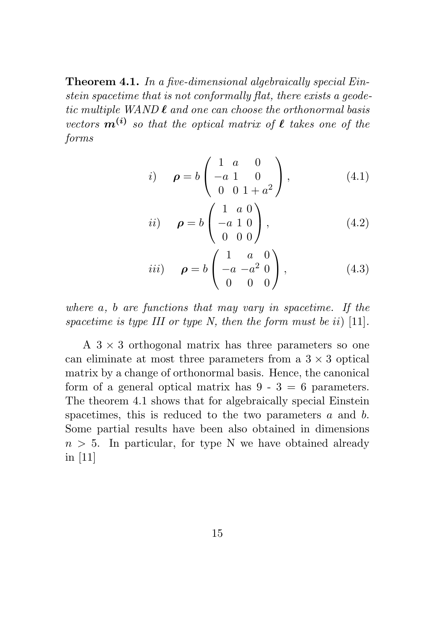Theorem 4.1. In a five-dimensional algebraically special Einstein spacetime that is not conformally flat, there exists a geodetic multiple  $WAND \ell$  and one can choose the orthonormal basis vectors  $\mathbf{m}^{(i)}$  so that the optical matrix of  $\ell$  takes one of the forms

i) 
$$
\rho = b \begin{pmatrix} 1 & a & 0 \\ -a & 1 & 0 \\ 0 & 0 & 1 + a^2 \end{pmatrix}
$$
, (4.1)

$$
ii) \quad \rho = b \begin{pmatrix} 1 & a & 0 \\ -a & 1 & 0 \\ 0 & 0 & 0 \end{pmatrix}, \tag{4.2}
$$

$$
iii) \t \t \t \t \t \rho = b \begin{pmatrix} 1 & a & 0 \\ -a & -a^2 & 0 \\ 0 & 0 & 0 \end{pmatrix}, \t (4.3)
$$

where a, b are functions that may vary in spacetime. If the spacetime is type III or type N, then the form must be ii) [11].

A  $3 \times 3$  orthogonal matrix has three parameters so one can eliminate at most three parameters from a  $3 \times 3$  optical matrix by a change of orthonormal basis. Hence, the canonical form of a general optical matrix has  $9 - 3 = 6$  parameters. The theorem 4.1 shows that for algebraically special Einstein spacetimes, this is reduced to the two parameters a and b. Some partial results have been also obtained in dimensions  $n > 5$ . In particular, for type N we have obtained already in [11]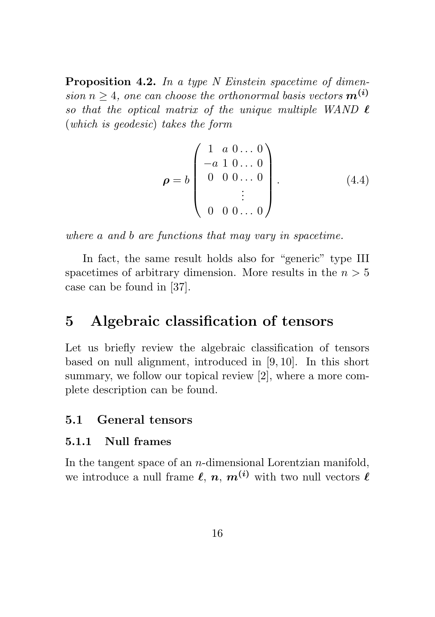Proposition 4.2. In a type N Einstein spacetime of dimension  $n \geq 4$ , one can choose the orthonormal basis vectors  $m^{(i)}$ so that the optical matrix of the unique multiple WAND  $\ell$ (which is geodesic) takes the form

$$
\boldsymbol{\rho} = b \begin{pmatrix} 1 & a & 0 & \dots & 0 \\ -a & 1 & 0 & \dots & 0 \\ 0 & 0 & 0 & \dots & 0 \\ & & \vdots & & \\ 0 & 0 & 0 & \dots & 0 \end{pmatrix} . \tag{4.4}
$$

where a and b are functions that may vary in spacetime.

In fact, the same result holds also for "generic" type III spacetimes of arbitrary dimension. More results in the  $n > 5$ case can be found in [37].

### 5 Algebraic classification of tensors

Let us briefly review the algebraic classification of tensors based on null alignment, introduced in [9, 10]. In this short summary, we follow our topical review [2], where a more complete description can be found.

#### 5.1 General tensors

#### 5.1.1 Null frames

In the tangent space of an  $n$ -dimensional Lorentzian manifold, we introduce a null frame  $\ell$ ,  $n$ ,  $m^{(i)}$  with two null vectors  $\ell$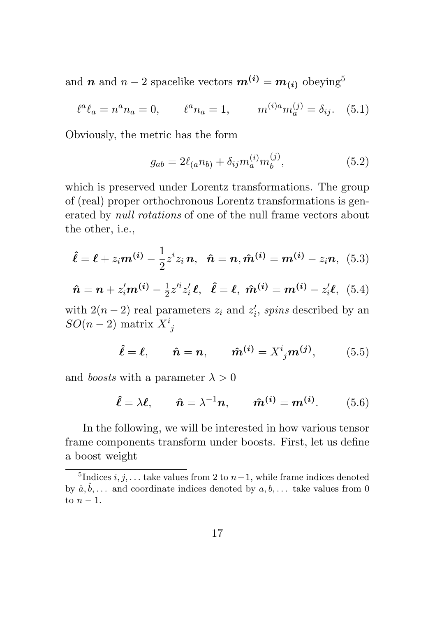and **n** and  $n-2$  spacelike vectors  $m^{(i)} = m_{(i)}$  obeying<sup>5</sup>

$$
\ell^a \ell_a = n^a n_a = 0, \qquad \ell^a n_a = 1, \qquad m^{(i)a} m_a^{(j)} = \delta_{ij}. \tag{5.1}
$$

Obviously, the metric has the form

$$
g_{ab} = 2\ell_{(a}n_{b)} + \delta_{ij}m_{a}^{(i)}m_{b}^{(j)},
$$
\n(5.2)

which is preserved under Lorentz transformations. The group of (real) proper orthochronous Lorentz transformations is generated by null rotations of one of the null frame vectors about the other, i.e.,

$$
\hat{\ell} = \ell + z_i m^{(i)} - \frac{1}{2} z^i z_i n, \quad \hat{n} = n, \hat{m}^{(i)} = m^{(i)} - z_i n, \tag{5.3}
$$

$$
\hat{n} = n + z_i'm^{(i)} - \frac{1}{2}z^{i}z_i'\ell, \quad \hat{\ell} = \ell, \ \hat{m}^{(i)} = m^{(i)} - z_i'\ell, \ \ (5.4)
$$

with  $2(n-2)$  real parameters  $z_i$  and  $z'_i$ , spins described by an  $SO(n-2)$  matrix  $X^i_{\ j}$ 

$$
\hat{\ell} = \ell, \qquad \hat{n} = n, \qquad \hat{m}^{(i)} = X^i{}_j m^{(j)}, \tag{5.5}
$$

and *boosts* with a parameter  $\lambda > 0$ 

$$
\hat{\ell} = \lambda \ell, \qquad \hat{n} = \lambda^{-1} n, \qquad \hat{m}^{(i)} = m^{(i)}.
$$
 (5.6)

In the following, we will be interested in how various tensor frame components transform under boosts. First, let us define a boost weight

<sup>&</sup>lt;sup>5</sup>Indices *i*, *j*, . . . take values from 2 to  $n-1$ , while frame indices denoted by  $\hat{a}, \hat{b}, \dots$  and coordinate indices denoted by  $a, b, \dots$  take values from 0 to  $n-1$ .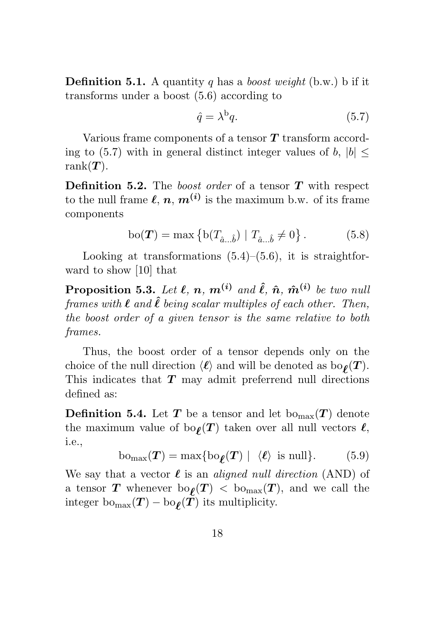**Definition 5.1.** A quantity q has a *boost weight* (b.w.) b if it transforms under a boost (5.6) according to

$$
\hat{q} = \lambda^{\mathbf{b}} q. \tag{5.7}
$$

Various frame components of a tensor T transform according to (5.7) with in general distinct integer values of b,  $|b|$  < rank $(T)$ .

**Definition 5.2.** The boost order of a tensor  $T$  with respect to the null frame  $\ell, n, m^{(i)}$  is the maximum b.w. of its frame components

$$
bo(\mathbf{T}) = \max \{ b(T_{\hat{a}...\hat{b}}) | T_{\hat{a}...\hat{b}} \neq 0 \}.
$$
 (5.8)

Looking at transformations  $(5.4)$ – $(5.6)$ , it is straightforward to show [10] that

**Proposition 5.3.** Let  $\ell, n, m^{(i)}$  and  $\hat{\ell}, \hat{n}, \hat{m}^{(i)}$  be two null frames with  $\ell$  and  $\hat{\ell}$  being scalar multiples of each other. Then, the boost order of a given tensor is the same relative to both frames.

Thus, the boost order of a tensor depends only on the choice of the null direction  $\langle \ell \rangle$  and will be denoted as  $bo_{\ell}(T)$ . This indicates that  $T$  may admit preferrend null directions defined as:

**Definition 5.4.** Let T be a tensor and let  $b_{\text{Omax}}(T)$  denote the maximum value of  $\text{bo}_{\ell}(T)$  taken over all null vectors  $\ell$ , i.e.,

$$
bo_{\max}(\boldsymbol{T}) = \max\{bo_{\boldsymbol{\ell}}(\boldsymbol{T}) \mid \langle \boldsymbol{\ell} \rangle \text{ is null}\}. \tag{5.9}
$$

We say that a vector  $\ell$  is an *aligned null direction* (AND) of a tensor T whenever  $\text{bo}_{\ell}(T) < \text{bo}_{\text{max}}(T)$ , and we call the integer  $\text{bo}_{\text{max}}(\boldsymbol{T}) - \text{bo}_{\boldsymbol{\ell}}(\boldsymbol{T})$  its multiplicity.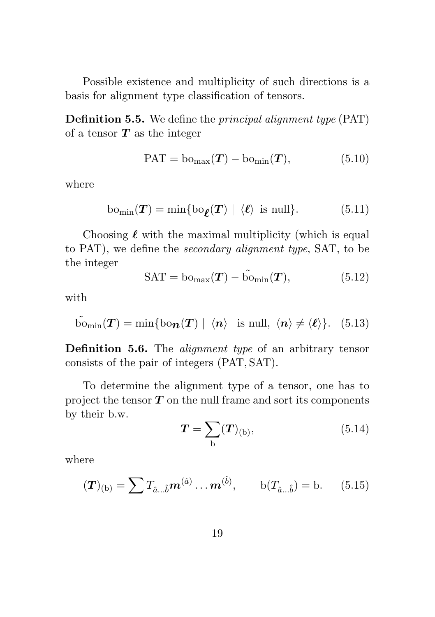Possible existence and multiplicity of such directions is a basis for alignment type classification of tensors.

Definition 5.5. We define the principal alignment type (PAT) of a tensor  $T$  as the integer

$$
PAT = \text{bo}_{\text{max}}(T) - \text{bo}_{\text{min}}(T), \tag{5.10}
$$

where

$$
bo_{\min}(\boldsymbol{T}) = \min\{bo_{\boldsymbol{\ell}}(\boldsymbol{T}) \mid \langle \boldsymbol{\ell} \rangle \text{ is null}\}. \tag{5.11}
$$

Choosing  $\ell$  with the maximal multiplicity (which is equal to PAT), we define the secondary alignment type, SAT, to be the integer

$$
SAT = \text{bo}_{\text{max}}(T) - \tilde{\text{bo}}_{\text{min}}(T), \tag{5.12}
$$

with

$$
\widetilde{\text{Dom}}_{\text{min}}(\boldsymbol{T}) = \min \{ \text{bo}_{\boldsymbol{n}}(\boldsymbol{T}) \mid \langle \boldsymbol{n} \rangle \text{ is null}, \langle \boldsymbol{n} \rangle \neq \langle \boldsymbol{\ell} \rangle \}. \quad (5.13)
$$

Definition 5.6. The *alignment type* of an arbitrary tensor consists of the pair of integers (PAT, SAT).

To determine the alignment type of a tensor, one has to project the tensor  $T$  on the null frame and sort its components by their b.w.

$$
T = \sum_{b} (T)_{(b)}, \tag{5.14}
$$

where

$$
(\mathbf{T})_{(b)} = \sum T_{\hat{a}...\hat{b}} \mathbf{m}^{(\hat{a})} \dots \mathbf{m}^{(\hat{b})}, \qquad b(T_{\hat{a}...\hat{b}}) = b. \tag{5.15}
$$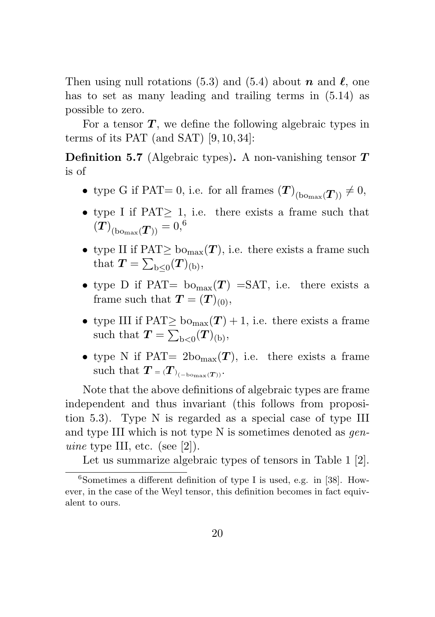Then using null rotations (5.3) and (5.4) about n and  $\ell$ , one has to set as many leading and trailing terms in (5.14) as possible to zero.

For a tensor  $T$ , we define the following algebraic types in terms of its PAT (and SAT) [9, 10, 34]:

**Definition 5.7** (Algebraic types). A non-vanishing tensor  $T$ is of

- type G if PAT= 0, i.e. for all frames  $(T)_{(b\text{onax}}(T)) \neq 0$ ,
- type I if  $PAT \geq 1$ , i.e. there exists a frame such that  $\left(T\right)_{\text{(bo_{max}}(\boldsymbol{T}))} = 0,^6$
- type II if  $\text{PAT} \geq \text{b}o_{\text{max}}(T)$ , i.e. there exists a frame such that  $T = \sum_{b \leq 0} (T)_{(b)},$
- type D if PAT=  $\text{bo}_{\text{max}}(T)$  =SAT, i.e. there exists a frame such that  $T = (T)_{(0)},$
- type III if  $\text{PAT} \geq \text{b} \cdot \text{b} \cdot \text{b} \cdot \text{b} \cdot \text{c}$ . there exists a frame such that  $T = \sum_{b<0} (T)_{(b)},$
- type N if PAT=  $2\text{bo}_{\text{max}}(T)$ , i.e. there exists a frame such that  $T = (T)_{(-\text{bomax}(T))}$ .

Note that the above definitions of algebraic types are frame independent and thus invariant (this follows from proposition 5.3). Type N is regarded as a special case of type III and type III which is not type N is sometimes denoted as *gen*uine type III, etc. (see [2]).

Let us summarize algebraic types of tensors in Table 1 [2].

 $6$ Sometimes a different definition of type I is used, e.g. in [38]. However, in the case of the Weyl tensor, this definition becomes in fact equivalent to ours.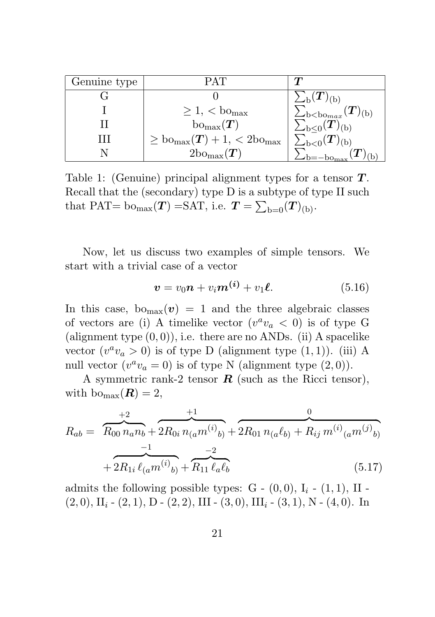| Genuine type | PAT                                                       |                                                      |
|--------------|-----------------------------------------------------------|------------------------------------------------------|
|              |                                                           | $\sum_{\rm b}(\bm{T})_{(\rm b)}$                     |
|              | $\geq 1$ , < bo <sub>max</sub>                            | $(\bm{T})_{(\mathrm{b})}$<br>$\sum_{\rm b$           |
|              | $\mathrm{bo}_{\max}(\boldsymbol{T})$                      | $\sum_{\mathrm{b}\leq 0}(\bm{T})_{(\mathrm{b})}$     |
| ,,,          | $\geq$ bo <sub>max</sub> $(T) + 1$ , < 2bo <sub>max</sub> | $\sum_{\mathrm{b}<0}(\boldsymbol{T})_{(\mathrm{b})}$ |
|              | $2\text{bo}_{\text{max}}(T)$                              |                                                      |

Table 1: (Genuine) principal alignment types for a tensor  $T$ . Recall that the (secondary) type D is a subtype of type II such that PAT= bo<sub>max</sub> $(T)$  =SAT, i.e.  $T = \sum_{b=0} (T)_{(b)}$ .

Now, let us discuss two examples of simple tensors. We start with a trivial case of a vector

$$
\boldsymbol{v} = v_0 \boldsymbol{n} + v_i \boldsymbol{m}^{(i)} + v_1 \boldsymbol{\ell}.
$$
 (5.16)

In this case,  $b_{\text{Omax}}(v) = 1$  and the three algebraic classes of vectors are (i) A timelike vector  $(v^a v_a < 0)$  is of type G (alignment type  $(0, 0)$ ), i.e. there are no ANDs. (ii) A spacelike vector  $(v^a v_a > 0)$  is of type D (alignment type  $(1, 1)$ ). (iii) A null vector  $(v^a v_a = 0)$  is of type N (alignment type  $(2,0)$ ).

A symmetric rank-2 tensor  $\bf{R}$  (such as the Ricci tensor), with  $\text{bo}_{\text{max}}(\boldsymbol{R}) = 2$ ,

$$
R_{ab} = \underbrace{\overbrace{R_{00} n_a n_b}_{+2R_{0i}} + \overbrace{2R_{0i} n_{(a} m^{(i)}_{b)}}_{+2R_{01} n_{(a} \ell_{b)}}}_{+2R_{1i} \ell_{(a} m^{(i)}_{b)} + \overbrace{R_{11} \ell_a \ell_b}_{+2R_{11} \ell_a \ell_b}
$$
\n
$$
(5.17)
$$

admits the following possible types:  $G - (0,0)$ ,  $I_i - (1,1)$ , II - $(2, 0), \Pi_i$  -  $(2, 1), D$  -  $(2, 2), \Pi$ I -  $(3, 0), \Pi$ <sub>i</sub> -  $(3, 1), N$  -  $(4, 0)$ . In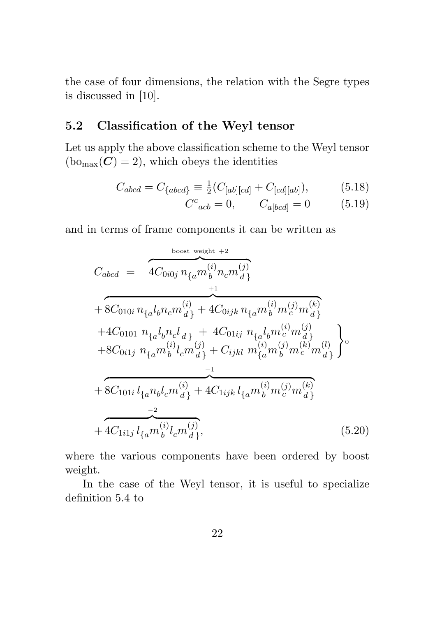the case of four dimensions, the relation with the Segre types is discussed in [10].

#### 5.2 Classification of the Weyl tensor

Let us apply the above classification scheme to the Weyl tensor  $(b_{\text{Omax}}(C) = 2)$ , which obeys the identities

$$
C_{abcd} = C_{\{abcd\}} \equiv \frac{1}{2} (C_{[ab][cd]} + C_{[cd][ab]}), \tag{5.18}
$$

$$
C^{c}_{\ \ acb} = 0, \qquad C_{a[bcd]} = 0 \tag{5.19}
$$

and in terms of frame components it can be written as

$$
C_{abcd} = \frac{4C_{0i0j} n_{\{a}m_b^{(i)}n_c m_d^{(j)}}}{4C_{0i0j} n_{\{a}m_b^{(i)} + 4C_{0ijk} n_{\{a}m_b^{(i)}m_c^{(j)}m_d^{(k)}\}}
$$
  
+ 8C\_{010i} n\_{\{a}l\_bn\_c m\_d^{(i)} + 4C\_{01ij} n\_{\{a}l\_bm\_c^{(i)}m\_d^{(j)}\}}  
+ 4C\_{0101} n\_{\{a}l\_bn\_c l\_{d}\} + 4C\_{01ij} n\_{\{a}l\_bm\_c^{(i)}m\_d^{(j)}\}  
+ 8C\_{0i1j} n\_{\{a}m\_b^{(i)}l\_c m\_d^{(j)} + C\_{ijkl} m\_{\{a}m\_b^{(j)}m\_c^{(k)}m\_d^{(l)}\}  
+ 8C\_{101i} l\_{\{a}n\_bl\_c m\_d^{(i)} + 4C\_{1ijk} l\_{\{a}m\_b^{(i)}m\_c^{(j)}m\_d^{(k)}\}  
+ 4C\_{1i1j} l\_{\{a}m\_b^{(i)}l\_c m\_d^{(j)}\}}, (5.20)

where the various components have been ordered by boost weight.

In the case of the Weyl tensor, it is useful to specialize definition 5.4 to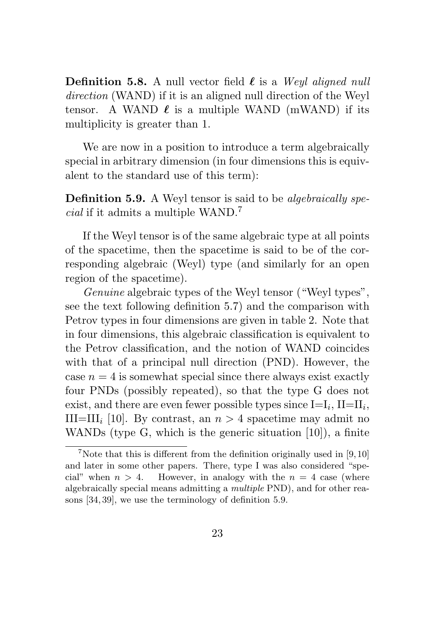**Definition 5.8.** A null vector field  $\ell$  is a Weyl aligned null direction (WAND) if it is an aligned null direction of the Weyl tensor. A WAND  $\ell$  is a multiple WAND (mWAND) if its multiplicity is greater than 1.

We are now in a position to introduce a term algebraically special in arbitrary dimension (in four dimensions this is equivalent to the standard use of this term):

**Definition 5.9.** A Weyl tensor is said to be *algebraically spe* $cial$  if it admits a multiple  $\ensuremath{\mathsf{WAND}}\xspace.^7$ 

If the Weyl tensor is of the same algebraic type at all points of the spacetime, then the spacetime is said to be of the corresponding algebraic (Weyl) type (and similarly for an open region of the spacetime).

Genuine algebraic types of the Weyl tensor ("Weyl types", see the text following definition 5.7) and the comparison with Petrov types in four dimensions are given in table 2. Note that in four dimensions, this algebraic classification is equivalent to the Petrov classification, and the notion of WAND coincides with that of a principal null direction (PND). However, the case  $n = 4$  is somewhat special since there always exist exactly four PNDs (possibly repeated), so that the type G does not exist, and there are even fewer possible types since  $I=I_i$ ,  $II=II_i$ , III=III<sub>i</sub> [10]. By contrast, an  $n > 4$  spacetime may admit no WANDs (type G, which is the generic situation [10]), a finite

<sup>&</sup>lt;sup>7</sup>Note that this is different from the definition originally used in [9,10] and later in some other papers. There, type I was also considered "special" when  $n > 4$ . However, in analogy with the  $n = 4$  case (where algebraically special means admitting a multiple PND), and for other reasons [34, 39], we use the terminology of definition 5.9.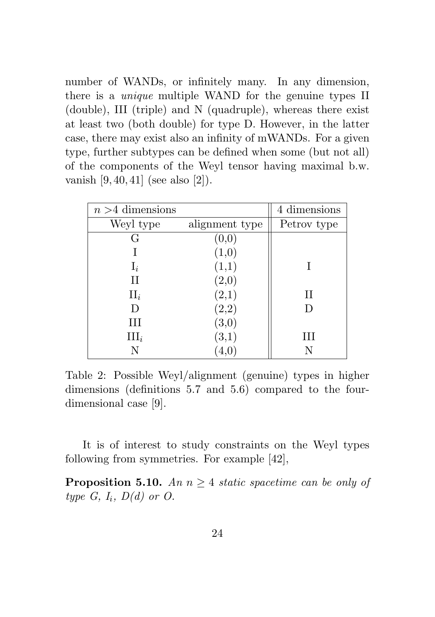number of WANDs, or infinitely many. In any dimension, there is a unique multiple WAND for the genuine types II (double), III (triple) and N (quadruple), whereas there exist at least two (both double) for type D. However, in the latter case, there may exist also an infinity of mWANDs. For a given type, further subtypes can be defined when some (but not all) of the components of the Weyl tensor having maximal b.w. vanish [9, 40, 41] (see also [2]).

| $n > 4$ dimensions |                | 4 dimensions |
|--------------------|----------------|--------------|
| Weyl type          | alignment type | Petrov type  |
| G                  | (0,0)          |              |
|                    | (1,0)          |              |
| $\mathbf{I}_i$     | (1,1)          |              |
| $_{\rm II}$        | (2,0)          |              |
| $II_i$             | (2,1)          | $\rm II$     |
| D                  | $_{(2,2)}$     | D            |
| Ш                  | (3,0)          |              |
| $III_i$            | (3,1)          | Ш            |
| N                  |                |              |

Table 2: Possible Weyl/alignment (genuine) types in higher dimensions (definitions 5.7 and 5.6) compared to the fourdimensional case [9].

It is of interest to study constraints on the Weyl types following from symmetries. For example [42],

**Proposition 5.10.** An  $n > 4$  static spacetime can be only of type  $G, I_i, D(d)$  or  $O.$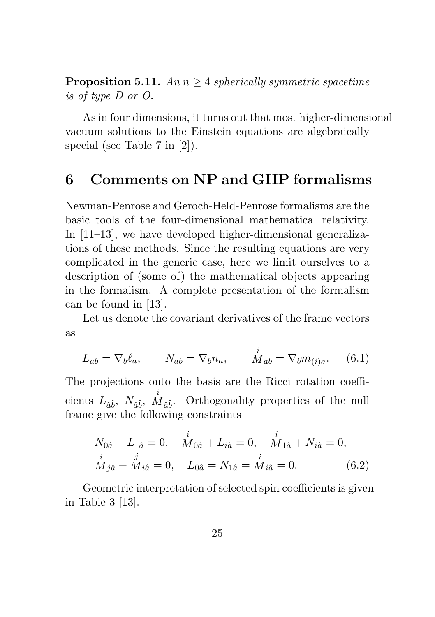**Proposition 5.11.** An  $n \geq 4$  spherically symmetric spacetime is of type D or O.

As in four dimensions, it turns out that most higher-dimensional vacuum solutions to the Einstein equations are algebraically special (see Table 7 in [2]).

# 6 Comments on NP and GHP formalisms

Newman-Penrose and Geroch-Held-Penrose formalisms are the basic tools of the four-dimensional mathematical relativity. In [11–13], we have developed higher-dimensional generalizations of these methods. Since the resulting equations are very complicated in the generic case, here we limit ourselves to a description of (some of) the mathematical objects appearing in the formalism. A complete presentation of the formalism can be found in [13].

Let us denote the covariant derivatives of the frame vectors as

$$
L_{ab} = \nabla_b \ell_a, \qquad N_{ab} = \nabla_b n_a, \qquad \dot{M}_{ab} = \nabla_b m_{(i)a}.
$$
 (6.1)

The projections onto the basis are the Ricci rotation coefficients  $L_{\hat{a}\hat{b}}$ ,  $N_{\hat{a}\hat{b}}$ ,  $\stackrel{i}{M}_{\hat{a}\hat{b}}$ . Orthogonality properties of the null frame give the following constraints

$$
N_{0\hat{a}} + L_{1\hat{a}} = 0, \quad \dot{M}_{0\hat{a}} + L_{i\hat{a}} = 0, \quad \dot{M}_{1\hat{a}} + N_{i\hat{a}} = 0,
$$
  

$$
\dot{M}_{j\hat{a}} + \dot{M}_{i\hat{a}} = 0, \quad L_{0\hat{a}} = N_{1\hat{a}} = \dot{M}_{i\hat{a}} = 0.
$$
 (6.2)

Geometric interpretation of selected spin coefficients is given in Table 3 [13].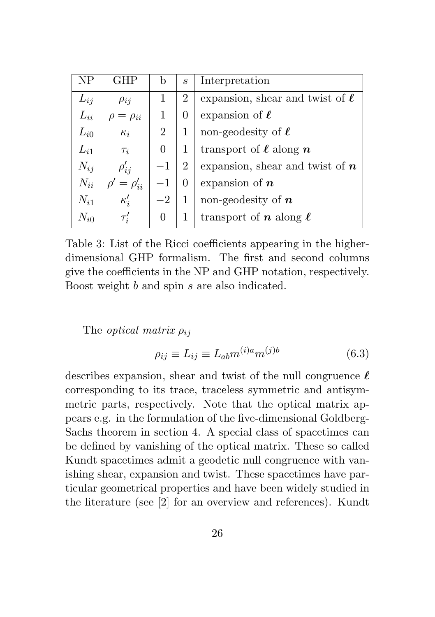| ΝP       | GHP           | b              | S | Interpretation                       |
|----------|---------------|----------------|---|--------------------------------------|
| $L_{ij}$ | $\rho_{ij}$   | 1              | 2 | expansion, shear and twist of $\ell$ |
| $L_{ii}$ | $= \rho_{ii}$ | 1              | 0 | expansion of $\ell$                  |
| $L_{i0}$ | $\kappa_i$    | $\overline{2}$ |   | non-geodesity of $\ell$              |
| $L_{i1}$ | $\tau_i$      | 0              | 1 | transport of $\ell$ along $n$        |
| $N_{ij}$ | $\rho'_{ij}$  |                | 2 | expansion, shear and twist of $n$    |
| $N_{ii}$ | $=\rho_{ii}'$ |                | 0 | expansion of $n$                     |
| $N_{i1}$ | $\kappa_i'$   | $-2$           | 1 | non-geodesity of $n$                 |
| $N_{i0}$ | $\tau_i$      | 0              |   | transport of n along $\ell$          |

Table 3: List of the Ricci coefficients appearing in the higherdimensional GHP formalism. The first and second columns give the coefficients in the NP and GHP notation, respectively. Boost weight b and spin s are also indicated.

The *optical matrix*  $\rho_{ij}$ 

$$
\rho_{ij} \equiv L_{ij} \equiv L_{ab} m^{(i)a} m^{(j)b} \tag{6.3}
$$

describes expansion, shear and twist of the null congruence  $\ell$ corresponding to its trace, traceless symmetric and antisymmetric parts, respectively. Note that the optical matrix appears e.g. in the formulation of the five-dimensional Goldberg-Sachs theorem in section 4. A special class of spacetimes can be defined by vanishing of the optical matrix. These so called Kundt spacetimes admit a geodetic null congruence with vanishing shear, expansion and twist. These spacetimes have particular geometrical properties and have been widely studied in the literature (see [2] for an overview and references). Kundt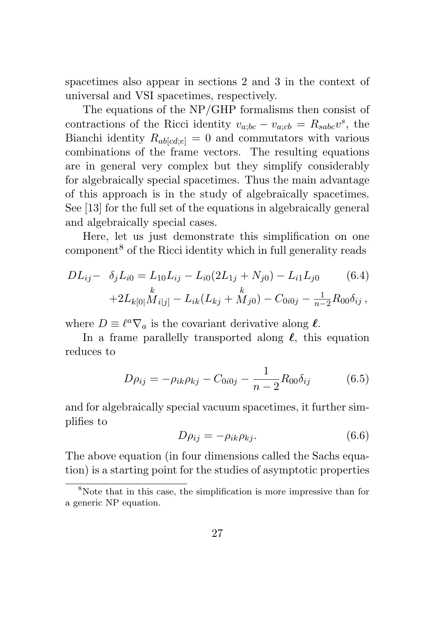spacetimes also appear in sections 2 and 3 in the context of universal and VSI spacetimes, respectively.

The equations of the NP/GHP formalisms then consist of contractions of the Ricci identity  $v_{a;bc} - v_{a;cb} = R_{sabc}v^s$ , the Bianchi identity  $R_{\text{ab}}[c_{d,e}] = 0$  and commutators with various combinations of the frame vectors. The resulting equations are in general very complex but they simplify considerably for algebraically special spacetimes. Thus the main advantage of this approach is in the study of algebraically spacetimes. See [13] for the full set of the equations in algebraically general and algebraically special cases.

Here, let us just demonstrate this simplification on one component<sup>8</sup> of the Ricci identity which in full generality reads

$$
DL_{ij} - \delta_j L_{i0} = L_{10}L_{ij} - L_{i0}(2L_{1j} + N_{j0}) - L_{i1}L_{j0} \qquad (6.4)
$$

$$
+ 2L_{k[0]}M_{i[j]} - L_{ik}(L_{kj} + M_{j0}) - C_{0i0j} - \frac{1}{n-2}R_{00}\delta_{ij},
$$

where  $D \equiv \ell^a \nabla_a$  is the covariant derivative along  $\ell$ .

In a frame parallelly transported along  $\ell$ , this equation reduces to

$$
D\rho_{ij} = -\rho_{ik}\rho_{kj} - C_{0i0j} - \frac{1}{n-2}R_{00}\delta_{ij}
$$
 (6.5)

and for algebraically special vacuum spacetimes, it further simplifies to

$$
D\rho_{ij} = -\rho_{ik}\rho_{kj}.\tag{6.6}
$$

The above equation (in four dimensions called the Sachs equation) is a starting point for the studies of asymptotic properties

 $8N$ ote that in this case, the simplification is more impressive than for a generic NP equation.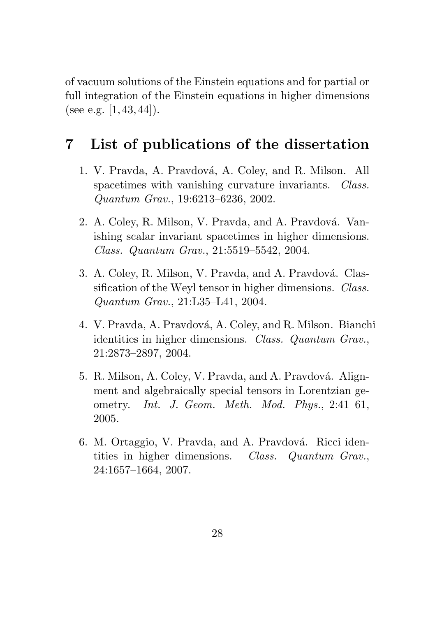of vacuum solutions of the Einstein equations and for partial or full integration of the Einstein equations in higher dimensions (see e.g.  $[1, 43, 44]$ ).

# 7 List of publications of the dissertation

- 1. V. Pravda, A. Pravdová, A. Coley, and R. Milson. All spacetimes with vanishing curvature invariants. *Class.* Quantum Grav., 19:6213–6236, 2002.
- 2. A. Coley, R. Milson, V. Pravda, and A. Pravdová. Vanishing scalar invariant spacetimes in higher dimensions. Class. Quantum Grav., 21:5519–5542, 2004.
- 3. A. Coley, R. Milson, V. Pravda, and A. Pravdová. Classification of the Weyl tensor in higher dimensions. *Class.* Quantum Grav., 21:L35–L41, 2004.
- 4. V. Pravda, A. Pravdová, A. Coley, and R. Milson. Bianchi identities in higher dimensions. Class. Quantum Grav., 21:2873–2897, 2004.
- 5. R. Milson, A. Coley, V. Pravda, and A. Pravdová. Alignment and algebraically special tensors in Lorentzian geometry. Int. J. Geom. Meth. Mod. Phys., 2:41–61, 2005.
- 6. M. Ortaggio, V. Pravda, and A. Pravdová. Ricci identities in higher dimensions. Class. Quantum Grav., 24:1657–1664, 2007.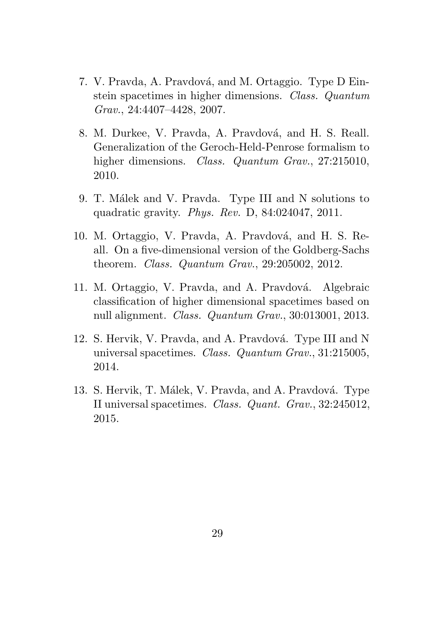- 7. V. Pravda, A. Pravdová, and M. Ortaggio. Type D Einstein spacetimes in higher dimensions. Class. Quantum Grav., 24:4407–4428, 2007.
- 8. M. Durkee, V. Pravda, A. Pravdová, and H. S. Reall. Generalization of the Geroch-Held-Penrose formalism to higher dimensions. Class. Quantum Grav., 27:215010, 2010.
- 9. T. Målek and V. Pravda. Type III and N solutions to quadratic gravity. Phys. Rev. D, 84:024047, 2011.
- 10. M. Ortaggio, V. Pravda, A. Pravdová, and H. S. Reall. On a five-dimensional version of the Goldberg-Sachs theorem. Class. Quantum Grav., 29:205002, 2012.
- 11. M. Ortaggio, V. Pravda, and A. Pravdová. Algebraic classification of higher dimensional spacetimes based on null alignment. Class. Quantum Grav., 30:013001, 2013.
- 12. S. Hervik, V. Pravda, and A. Pravdová. Type III and N universal spacetimes. Class. Quantum Grav., 31:215005, 2014.
- 13. S. Hervik, T. Málek, V. Pravda, and A. Pravdová. Type II universal spacetimes. Class. Quant. Grav., 32:245012, 2015.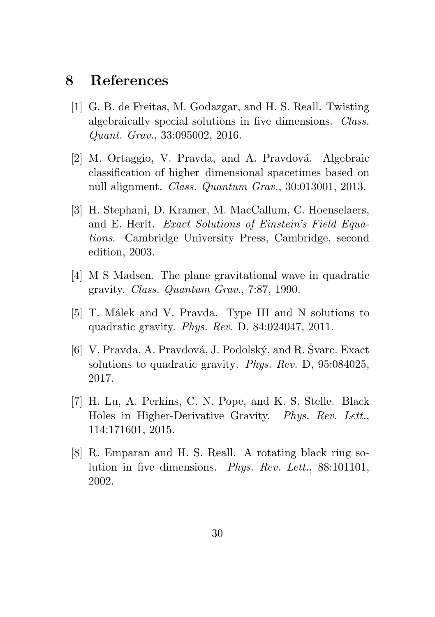## 8 References

- [1] G. B. de Freitas, M. Godazgar, and H. S. Reall. Twisting algebraically special solutions in five dimensions. Class. Quant. Grav., 33:095002, 2016.
- [2] M. Ortaggio, V. Pravda, and A. Pravdová. Algebraic classification of higher–dimensional spacetimes based on null alignment. Class. Quantum Grav., 30:013001, 2013.
- [3] H. Stephani, D. Kramer, M. MacCallum, C. Hoenselaers, and E. Herlt. Exact Solutions of Einstein's Field Equations. Cambridge University Press, Cambridge, second edition, 2003.
- [4] M S Madsen. The plane gravitational wave in quadratic gravity. Class. Quantum Grav., 7:87, 1990.
- [5] T. Målek and V. Pravda. Type III and N solutions to quadratic gravity. Phys. Rev. D, 84:024047, 2011.
- [6] V. Pravda, A. Pravdová, J. Podolský, and R. Svarc. Exact solutions to quadratic gravity. Phys. Rev. D, 95:084025, 2017.
- [7] H. Lu, A. Perkins, C. N. Pope, and K. S. Stelle. Black Holes in Higher-Derivative Gravity. Phys. Rev. Lett., 114:171601, 2015.
- [8] R. Emparan and H. S. Reall. A rotating black ring solution in five dimensions. Phys. Rev. Lett., 88:101101, 2002.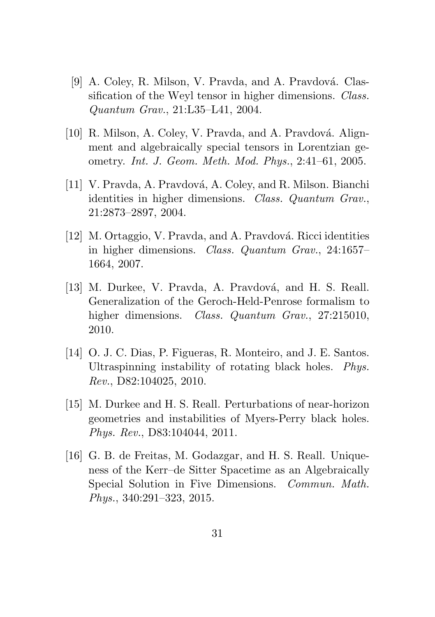- [9] A. Coley, R. Milson, V. Pravda, and A. Pravdová. Classification of the Weyl tensor in higher dimensions. *Class.* Quantum Grav., 21:L35–L41, 2004.
- [10] R. Milson, A. Coley, V. Pravda, and A. Pravdová. Alignment and algebraically special tensors in Lorentzian geometry. Int. J. Geom. Meth. Mod. Phys., 2:41–61, 2005.
- [11] V. Pravda, A. Pravdová, A. Coley, and R. Milson. Bianchi identities in higher dimensions. Class. Quantum Grav., 21:2873–2897, 2004.
- [12] M. Ortaggio, V. Pravda, and A. Pravdová. Ricci identities in higher dimensions. Class. Quantum Grav., 24:1657– 1664, 2007.
- [13] M. Durkee, V. Pravda, A. Pravdová, and H. S. Reall. Generalization of the Geroch-Held-Penrose formalism to higher dimensions. *Class. Quantum Grav.*, 27:215010, 2010.
- [14] O. J. C. Dias, P. Figueras, R. Monteiro, and J. E. Santos. Ultraspinning instability of rotating black holes. Phys. Rev., D82:104025, 2010.
- [15] M. Durkee and H. S. Reall. Perturbations of near-horizon geometries and instabilities of Myers-Perry black holes. Phys. Rev., D83:104044, 2011.
- [16] G. B. de Freitas, M. Godazgar, and H. S. Reall. Uniqueness of the Kerr–de Sitter Spacetime as an Algebraically Special Solution in Five Dimensions. Commun. Math. Phys., 340:291–323, 2015.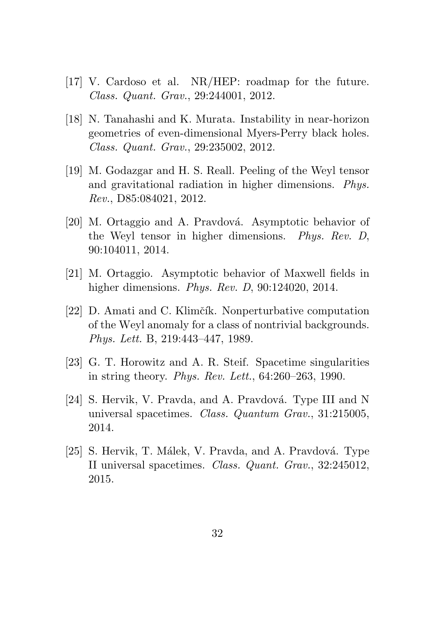- [17] V. Cardoso et al. NR/HEP: roadmap for the future. Class. Quant. Grav., 29:244001, 2012.
- [18] N. Tanahashi and K. Murata. Instability in near-horizon geometries of even-dimensional Myers-Perry black holes. Class. Quant. Grav., 29:235002, 2012.
- [19] M. Godazgar and H. S. Reall. Peeling of the Weyl tensor and gravitational radiation in higher dimensions. Phys. Rev., D85:084021, 2012.
- [20] M. Ortaggio and A. Pravdová. Asymptotic behavior of the Weyl tensor in higher dimensions. Phys. Rev. D, 90:104011, 2014.
- [21] M. Ortaggio. Asymptotic behavior of Maxwell fields in higher dimensions. Phys. Rev. D, 90:124020, 2014.
- [22] D. Amati and C. Klimčík. Nonperturbative computation of the Weyl anomaly for a class of nontrivial backgrounds. Phys. Lett. B, 219:443–447, 1989.
- [23] G. T. Horowitz and A. R. Steif. Spacetime singularities in string theory. Phys. Rev. Lett., 64:260–263, 1990.
- [24] S. Hervik, V. Pravda, and A. Pravdová. Type III and N universal spacetimes. Class. Quantum Grav., 31:215005, 2014.
- [25] S. Hervik, T. Málek, V. Pravda, and A. Pravdová. Type II universal spacetimes. Class. Quant. Grav., 32:245012, 2015.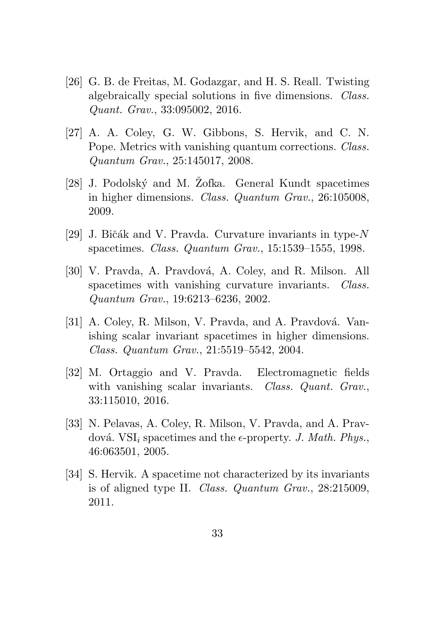- [26] G. B. de Freitas, M. Godazgar, and H. S. Reall. Twisting algebraically special solutions in five dimensions. Class. Quant. Grav., 33:095002, 2016.
- [27] A. A. Coley, G. W. Gibbons, S. Hervik, and C. N. Pope. Metrics with vanishing quantum corrections. Class. Quantum Grav., 25:145017, 2008.
- [28] J. Podolský and M. Zofka. General Kundt spacetimes in higher dimensions. Class. Quantum Grav., 26:105008, 2009.
- [29] J. Bičák and V. Pravda. Curvature invariants in type- $N$ spacetimes. Class. Quantum Grav., 15:1539–1555, 1998.
- [30] V. Pravda, A. Pravdová, A. Coley, and R. Milson. All spacetimes with vanishing curvature invariants. Class. Quantum Grav., 19:6213–6236, 2002.
- [31] A. Coley, R. Milson, V. Pravda, and A. Pravdová. Vanishing scalar invariant spacetimes in higher dimensions. Class. Quantum Grav., 21:5519–5542, 2004.
- [32] M. Ortaggio and V. Pravda. Electromagnetic fields with vanishing scalar invariants. Class. Quant. Grav., 33:115010, 2016.
- [33] N. Pelavas, A. Coley, R. Milson, V. Pravda, and A. Pravdová. VSI<sub>i</sub> spacetimes and the  $\epsilon$ -property. J. Math. Phys., 46:063501, 2005.
- [34] S. Hervik. A spacetime not characterized by its invariants is of aligned type II. Class. Quantum Grav., 28:215009, 2011.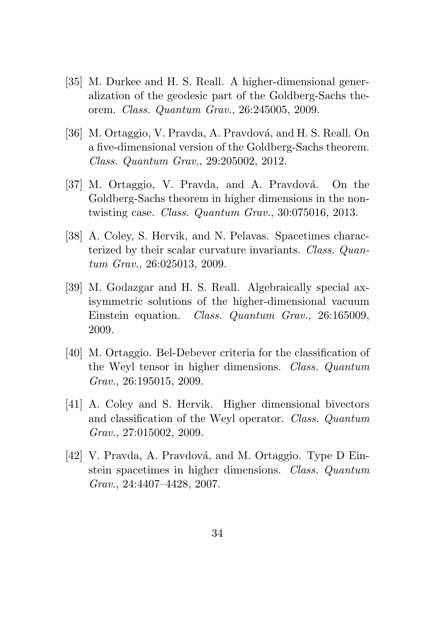- [35] M. Durkee and H. S. Reall. A higher-dimensional generalization of the geodesic part of the Goldberg-Sachs theorem. Class. Quantum Grav., 26:245005, 2009.
- [36] M. Ortaggio, V. Pravda, A. Pravdová, and H. S. Reall. On a five-dimensional version of the Goldberg-Sachs theorem. Class. Quantum Grav., 29:205002, 2012.
- [37] M. Ortaggio, V. Pravda, and A. Pravdová. On the Goldberg-Sachs theorem in higher dimensions in the nontwisting case. Class. Quantum Grav., 30:075016, 2013.
- [38] A. Coley, S. Hervik, and N. Pelavas. Spacetimes characterized by their scalar curvature invariants. Class. Quantum Grav., 26:025013, 2009.
- [39] M. Godazgar and H. S. Reall. Algebraically special axisymmetric solutions of the higher-dimensional vacuum Einstein equation. Class. Quantum Grav., 26:165009, 2009.
- [40] M. Ortaggio. Bel-Debever criteria for the classification of the Weyl tensor in higher dimensions. Class. Quantum Grav., 26:195015, 2009.
- [41] A. Coley and S. Hervik. Higher dimensional bivectors and classification of the Weyl operator. Class. Quantum Grav., 27:015002, 2009.
- [42] V. Pravda, A. Pravdová, and M. Ortaggio. Type D Einstein spacetimes in higher dimensions. Class. Quantum Grav., 24:4407–4428, 2007.